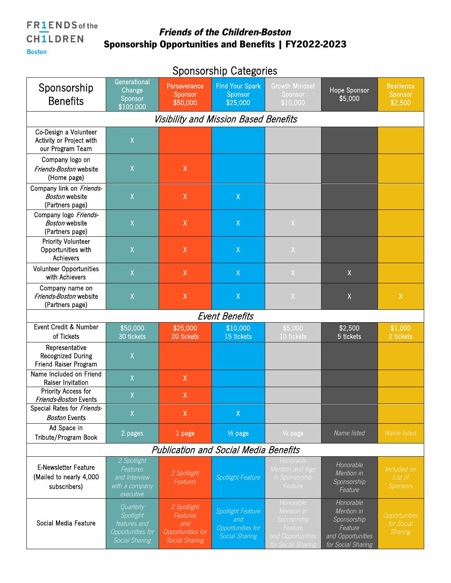**Boston** 

## Friends of the Children-Boston Sponsorship Opportunities and Benefits | FY2022-2023

| <b>OPUNUUNING UULUSUNUU</b>                                            |                                                                               |                                                                                     |                                                                               |                                                                                              |                                                                                              |                                               |  |  |
|------------------------------------------------------------------------|-------------------------------------------------------------------------------|-------------------------------------------------------------------------------------|-------------------------------------------------------------------------------|----------------------------------------------------------------------------------------------|----------------------------------------------------------------------------------------------|-----------------------------------------------|--|--|
| Sponsorship<br><b>Benefits</b>                                         | Generational<br>Change<br>Sponsor<br>\$100,000                                | Perseverance<br>Sponsor<br>\$50,000                                                 | <b>Find Your Spark</b><br>Sponsor<br>\$25,000                                 | <b>Growth Mindset</b><br>Sponsor<br>\$10,000                                                 | Hope Sponsor<br>\$5,000                                                                      | <b>Resilience</b><br>Sponsor<br>\$2,500       |  |  |
| Visibility and Mission Based Benefits                                  |                                                                               |                                                                                     |                                                                               |                                                                                              |                                                                                              |                                               |  |  |
| Co-Design a Volunteer<br>Activity or Project with<br>our Program Team  | $\mathsf X$                                                                   |                                                                                     |                                                                               |                                                                                              |                                                                                              |                                               |  |  |
| Company logo on<br>Friends-Boston website<br>(Home page)               | X                                                                             | $\mathsf{X}$                                                                        |                                                                               |                                                                                              |                                                                                              |                                               |  |  |
| Company link on Friends-<br><b>Boston</b> website<br>(Partners page)   | $\mathsf X$                                                                   | $\mathsf{X}% _{0}^{\prime}=\mathsf{X}_{0}^{\prime}$                                 | $\mathsf{X}% _{0}^{\prime}=\mathsf{X}_{0}^{\prime}$                           |                                                                                              |                                                                                              |                                               |  |  |
| Company logo Friends-<br><b>Boston website</b><br>(Partners page)      | $\mathsf X$                                                                   | $\mathsf{X}% _{0}^{\prime}=\mathsf{X}_{0}^{\prime}$                                 | $\mathsf{X}% _{0}^{\prime}=\mathsf{X}_{0}^{\prime}$                           | $\mathsf{X}$                                                                                 |                                                                                              |                                               |  |  |
| <b>Priority Volunteer</b><br>Opportunities with<br>Achievers           | $\mathsf X$                                                                   | $\mathsf X$                                                                         | $\mathsf X$                                                                   | $\mathsf{X}$                                                                                 |                                                                                              |                                               |  |  |
| <b>Volunteer Opportunities</b><br>with Achievers                       | X                                                                             | $\mathsf X$                                                                         | $\mathsf X$                                                                   | $\mathsf X$                                                                                  | $\mathsf{X}$                                                                                 |                                               |  |  |
| Company name on<br>Friends-Boston website<br>(Partners page)           | $\mathsf X$                                                                   | $\mathsf{X}$                                                                        | $\mathsf X$                                                                   | $\mathsf X$                                                                                  | Χ                                                                                            | $\mathsf X$                                   |  |  |
| <b>Event Benefits</b>                                                  |                                                                               |                                                                                     |                                                                               |                                                                                              |                                                                                              |                                               |  |  |
| Event Credit & Number<br>of Tickets                                    | \$50,000<br>30 tickets                                                        | \$25,000<br>20 tickets                                                              | \$10,000<br>15 tickets                                                        | \$5,000<br>10 tickets                                                                        | \$2,500<br>5 tickets                                                                         | \$1,000<br>2 tickets                          |  |  |
| Representative<br>Recognized During<br>Friend Raiser Program           | $\mathsf X$                                                                   |                                                                                     |                                                                               |                                                                                              |                                                                                              |                                               |  |  |
| Name Included on Friend<br>Raiser Invitation                           | $\mathsf X$                                                                   | $\mathsf X$                                                                         |                                                                               |                                                                                              |                                                                                              |                                               |  |  |
| <b>Priority Access for</b><br>Friends-Boston Events                    | Χ                                                                             | $\mathsf X$                                                                         |                                                                               |                                                                                              |                                                                                              |                                               |  |  |
| Special Rates for Friends-<br><b>Boston Events</b>                     | X                                                                             | $\sf X$                                                                             | $\mathsf{X}$                                                                  |                                                                                              |                                                                                              |                                               |  |  |
| Ad Space in<br>Tribute/Program Book                                    | 2 pages                                                                       | 1 page                                                                              | 1/ <sub>2</sub> page                                                          | 1/ <sub>4</sub> page                                                                         | Name listed                                                                                  | Name listed                                   |  |  |
| <b>Publication and Social Media Benefits</b>                           |                                                                               |                                                                                     |                                                                               |                                                                                              |                                                                                              |                                               |  |  |
| <b>E-Newsletter Feature</b><br>(Mailed to nearly 4,000<br>subscribers) | 2 Spotlight<br>Features<br>and Interview<br>with a company<br>executive       | 2 Spotlight<br>Features                                                             | Spotlight Feature                                                             | Honorable<br>Mention and logo<br>in Sponsorship<br>Feature                                   | Honorable<br>Mention in<br>Sponsorship<br>Feature                                            | Included on<br>List of<br><b>Sponsors</b>     |  |  |
| Social Media Feature                                                   | Quarterly<br>Spotlight<br>features and<br>Opportunities for<br>Social Sharing | 2 Spotlight<br><b>Features</b><br>and<br>Opportunities for<br><b>Social Sharing</b> | <b>Spotlight Feature</b><br>and<br>Opportunities for<br><b>Social Sharing</b> | Honorable<br>Mention in<br>Sponsorship<br>Feature<br>and Opportunities<br>for Social Sharing | Honorable<br>Mention in<br>Sponsorship<br>Feature<br>and Opportunities<br>for Social Sharing | Opportunities<br>for Social<br><b>Sharing</b> |  |  |

## Sponsorship Categories